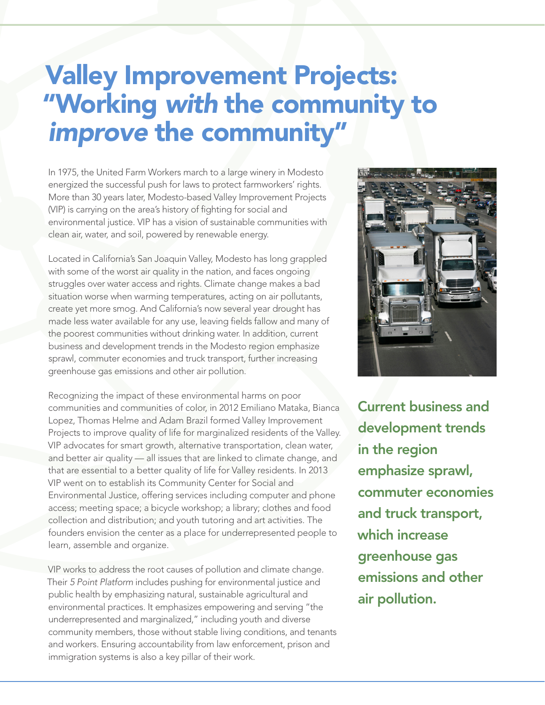## Valley Improvement Projects: "Working *with* the community to *improve* the community"

In 1975, the United Farm Workers march to a large winery in Modesto energized the successful push for laws to protect farmworkers' rights. More than 30 years later, Modesto-based Valley Improvement Projects (VIP) is carrying on the area's history of fighting for social and environmental justice. VIP has a vision of sustainable communities with clean air, water, and soil, powered by renewable energy.

Located in California's San Joaquin Valley, Modesto has long grappled with some of the worst air quality in the nation, and faces ongoing struggles over water access and rights. Climate change makes a bad situation worse when warming temperatures, acting on air pollutants, create yet more smog. And California's now several year drought has made less water available for any use, leaving fields fallow and many of the poorest communities without drinking water. In addition, current business and development trends in the Modesto region emphasize sprawl, commuter economies and truck transport, further increasing greenhouse gas emissions and other air pollution.

Recognizing the impact of these environmental harms on poor communities and communities of color, in 2012 Emiliano Mataka, Bianca Lopez, Thomas Helme and Adam Brazil formed Valley Improvement Projects to improve quality of life for marginalized residents of the Valley. VIP advocates for smart growth, alternative transportation, clean water, and better air quality — all issues that are linked to climate change, and that are essential to a better quality of life for Valley residents. In 2013 VIP went on to establish its Community Center for Social and Environmental Justice, offering services including computer and phone access; meeting space; a bicycle workshop; a library; clothes and food collection and distribution; and youth tutoring and art activities. The founders envision the center as a place for underrepresented people to learn, assemble and organize.

VIP works to address the root causes of pollution and climate change. Their *5 Point Platform* includes pushing for environmental justice and public health by emphasizing natural, sustainable agricultural and environmental practices. It emphasizes empowering and serving "the underrepresented and marginalized," including youth and diverse community members, those without stable living conditions, and tenants and workers. Ensuring accountability from law enforcement, prison and immigration systems is also a key pillar of their work.



Current business and development trends in the region emphasize sprawl, commuter economies and truck transport, which increase greenhouse gas emissions and other air pollution.